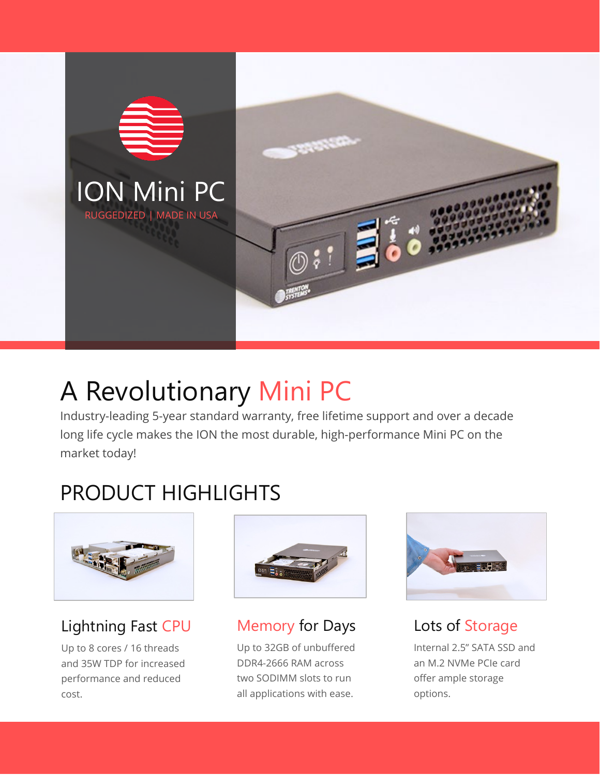

# A Revolutionary Mini PC

Industry-leading 5-year standard warranty, free lifetime support and over a decade long life cycle makes the ION the most durable, high-performance Mini PC on the market today!

## PRODUCT HIGHLIGHTS



### Lightning Fast CPU

Up to 8 cores / 16 threads and 35W TDP for increased performance and reduced cost.



Memory for Days

Up to 32GB of unbuffered DDR4-2666 RAM across two SODIMM slots to run all applications with ease.



### Lots of Storage

Internal 2.5" SATA SSD and an M.2 NVMe PCIe card offer ample storage options.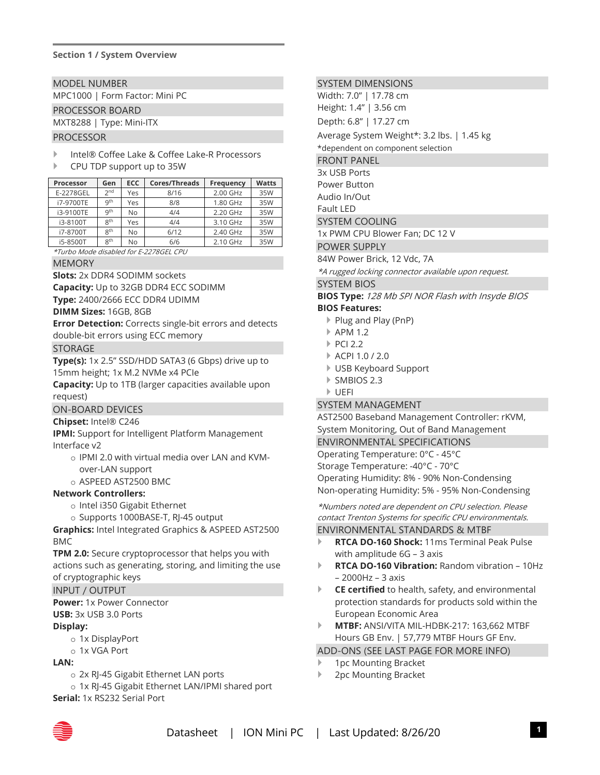#### **Section 1 / System Overview**

MODEL NUMBER

MPC1000 | Form Factor: Mini PC

#### PROCESSOR BOARD

MXT8288 | Type: Mini-ITX

#### PROCESSOR

Intel® Coffee Lake & Coffee Lake-R Processors

#### CPU TDP support up to 35W

| Processor | Gen             | <b>ECC</b> | <b>Cores/Threads</b> | Frequency | <b>Watts</b> |
|-----------|-----------------|------------|----------------------|-----------|--------------|
| E-2278GEL | 2 <sub>nd</sub> | Yes        | 8/16                 | 2.00 GHz  | 35W          |
| i7-9700TE | qth             | Yes        | 8/8                  | 1.80 GHz  | 35W          |
| i3-9100TE | gth             | No         | 4/4                  | 2.20 GHz  | 35W          |
| i3-8100T  | gth             | Yes        | 4/4                  | 3.10 GHz  | 35W          |
| i7-8700T  | gth             | No         | 6/12                 | 2.40 GHz  | 35W          |
| i5-8500T  | gth             | No         | 6/6                  | 2.10 GHz  | 35W          |

\*Turbo Mode disabled for E-2278GEL CPU

MEMORY

**Slots:** 2x DDR4 SODIMM sockets

**Capacity:** Up to 32GB DDR4 ECC SODIMM

**Type:** 2400/2666 ECC DDR4 UDIMM

**DIMM Sizes:** 16GB, 8GB

**Error Detection:** Corrects single-bit errors and detects double-bit errors using ECC memory

STORAGE

**Type(s):** 1x 2.5" SSD/HDD SATA3 (6 Gbps) drive up to 15mm height; 1x M.2 NVMe x4 PCIe

**Capacity:** Up to 1TB (larger capacities available upon request)

#### ON-BOARD DEVICES

#### **Chipset:** Intel® C246

**IPMI:** Support for Intelligent Platform Management Interface v2

- o IPMI 2.0 with virtual media over LAN and KVMover-LAN support
- o ASPEED AST2500 BMC

#### **Network Controllers:**

- o Intel i350 Gigabit Ethernet
- o Supports 1000BASE-T, RJ-45 output

**Graphics:** Intel Integrated Graphics & ASPEED AST2500 BMC

**TPM 2.0:** Secure cryptoprocessor that helps you with actions such as generating, storing, and limiting the use of cryptographic keys

#### INPUT / OUTPUT

**Power:** 1x Power Connector

**USB:** 3x USB 3.0 Ports

#### **Display:**

- o 1x DisplayPort
- o 1x VGA Port

#### **LAN:**

- o 2x RJ-45 Gigabit Ethernet LAN ports
- o 1x RJ-45 Gigabit Ethernet LAN/IPMI shared port

**Serial:** 1x RS232 Serial Port

#### SYSTEM DIMENSIONS

Width: 7.0" | 17.78 cm Height: 1.4" | 3.56 cm

Depth: 6.8" | 17.27 cm

Average System Weight\*: 3.2 lbs. | 1.45 kg

\*dependent on component selection

FRONT PANEL

3x USB Ports Power Button

Audio In/Out

Fault LED

SYSTEM COOLING

1x PWM CPU Blower Fan; DC 12 V

POWER SUPPLY

84W Power Brick, 12 Vdc, 7A

\*A rugged locking connector available upon request.

#### SYSTEM BIOS

**BIOS Type:** 128 Mb SPI NOR Flash with Insyde BIOS **BIOS Features:**

- ▶ Plug and Play (PnP)
- APM 1.2
- $\triangleright$  PCI 2.2
- ACPI 1.0 / 2.0
- USB Keyboard Support
- SMBIOS 2.3
- UEFI

#### SYSTEM MANAGEMENT

AST2500 Baseband Management Controller: rKVM, System Monitoring, Out of Band Management ENVIRONMENTAL SPECIFICATIONS Operating Temperature: 0°C - 45°C Storage Temperature: -40°C - 70°C Operating Humidity: 8% - 90% Non-Condensing Non-operating Humidity: 5% - 95% Non-Condensing

\*Numbers noted are dependent on CPU selection. Please contact Trenton Systems for specific CPU environmentals.

#### ENVIRONMENTAL STANDARDS & MTBF

- **RTCA DO-160 Shock:** 11ms Terminal Peak Pulse with amplitude 6G – 3 axis
- **RTCA DO-160 Vibration:** Random vibration 10Hz – 2000Hz – 3 axis
- **CE certified** to health, safety, and environmental protection standards for products sold within the European Economic Area
- **MTBF:** ANSI/VITA MIL-HDBK-217: 163,662 MTBF Hours GB Env. | 57,779 MTBF Hours GF Env.

#### ADD-ONS (SEE LAST PAGE FOR MORE INFO)

- 1pc Mounting Bracket
- 2pc Mounting Bracket

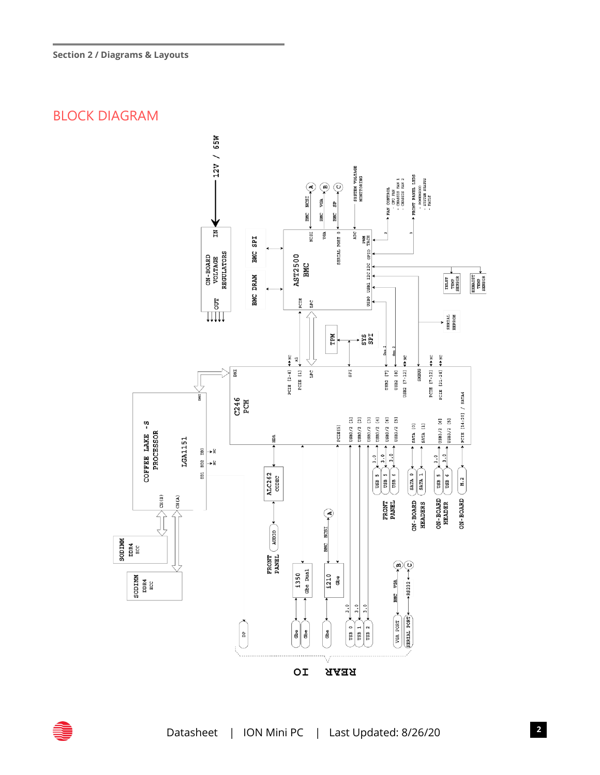### BLOCK DIAGRAM

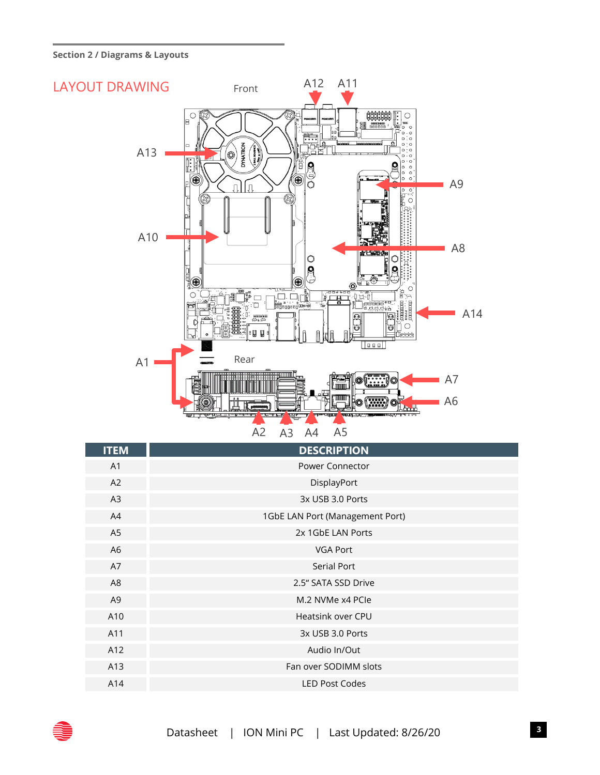**Section 2 / Diagrams & Layouts**



| <b>ITEM</b>    | <b>DESCRIPTION</b>              |
|----------------|---------------------------------|
| A <sub>1</sub> | Power Connector                 |
| A2             | DisplayPort                     |
| A3             | 3x USB 3.0 Ports                |
| A4             | 1GbE LAN Port (Management Port) |
| A <sub>5</sub> | 2x 1GbE LAN Ports               |
| A <sub>6</sub> | <b>VGA Port</b>                 |
| A7             | Serial Port                     |
| A8             | 2.5" SATA SSD Drive             |
| A <sub>9</sub> | M.2 NVMe x4 PCle                |
| A10            | Heatsink over CPU               |
| A11            | 3x USB 3.0 Ports                |
| A12            | Audio In/Out                    |
| A13            | Fan over SODIMM slots           |
| A14            | <b>LED Post Codes</b>           |